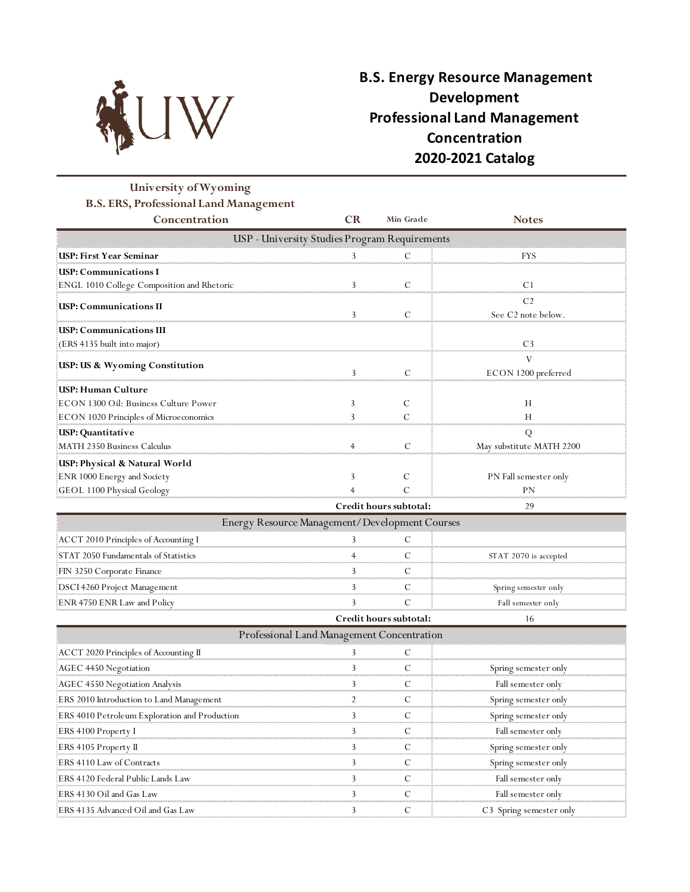

# **B.S. Energy Resource Management Development Professional Land Management Concentration 2020-2021 Catalog**

## **University of Wyoming B.S. ERS, Professional Land Management**

| Concentration                                 | <b>CR</b> | Min Grade              | <b>Notes</b>                                     |  |  |  |  |
|-----------------------------------------------|-----------|------------------------|--------------------------------------------------|--|--|--|--|
| USP - University Studies Program Requirements |           |                        |                                                  |  |  |  |  |
| USP: First Year Seminar                       |           |                        | HY N                                             |  |  |  |  |
| USP: Communications I                         |           |                        |                                                  |  |  |  |  |
| ENGL 1010 College Composition and Rhetoric    |           |                        |                                                  |  |  |  |  |
| <b>ISP: Communications II</b>                 |           |                        | C <sub>2</sub><br>See C <sub>2</sub> note below. |  |  |  |  |
| USP: Communications III:                      |           |                        |                                                  |  |  |  |  |
| (ERS 4135 built into major)                   |           |                        |                                                  |  |  |  |  |
| USP: US & Wyoming Constitution                |           |                        | ECON 1200 preferred                              |  |  |  |  |
| USP: Human Culture                            |           |                        |                                                  |  |  |  |  |
| ECON 1300 Oil: Business Culture Power         |           |                        | Н                                                |  |  |  |  |
| ECON 1020 Principles of Microeconomics        |           |                        |                                                  |  |  |  |  |
| USP: Quantitative                             |           |                        | Q                                                |  |  |  |  |
| MATH 2350 Business Calculus                   |           |                        | May substitute MATH 2200                         |  |  |  |  |
| USP: Physical & Natural World                 |           |                        |                                                  |  |  |  |  |
| ENR 1000 Energy and Society                   |           |                        | PN Fall semester only                            |  |  |  |  |
| GEOL 1100 Physical Geology                    |           |                        |                                                  |  |  |  |  |
|                                               |           | Credit hours subtotal: | 29                                               |  |  |  |  |

| Energy Resource Management/Development Courses |                        |  |                       |  |  |
|------------------------------------------------|------------------------|--|-----------------------|--|--|
| ACCT 2010 Principles of Accounting I           |                        |  |                       |  |  |
| STAT 2050 Fundamentals of Statistics           |                        |  | STAT 2070 is accepted |  |  |
| FIN 3250 Corporate Finance                     |                        |  |                       |  |  |
| DSCI 4260 Project Management                   |                        |  | Spring semester only  |  |  |
| ENR 4750 ENR Law and Policy                    |                        |  | Fall semester only    |  |  |
|                                                | Credit hours subtotal: |  |                       |  |  |

ACCT 2020 Principles of Accounting II 3 C AGEC 4450 Negotiation 3 C Spring semester only AGEC 4550 Negotiation Analysis 3 C Fall semester only ERS 2010 Introduction to Land Management 2 C Spring semester only ERS 4010 Petroleum Exploration and Production 3 C Spring semester only ERS 4100 Property I 3 C Fall semester only ERS 4105 Property II 3 C Spring semester only ERS 4110 Law of Contracts 3 C Spring semester only ERS 4120 Federal Public Lands Law 3 C Fall semester only ERS 4130 Oil and Gas Law 3 C Fall semester only ERS 4135 Advanced Oil and Gas Law 3 C C3 Spring semester only Professional Land Management Concentration